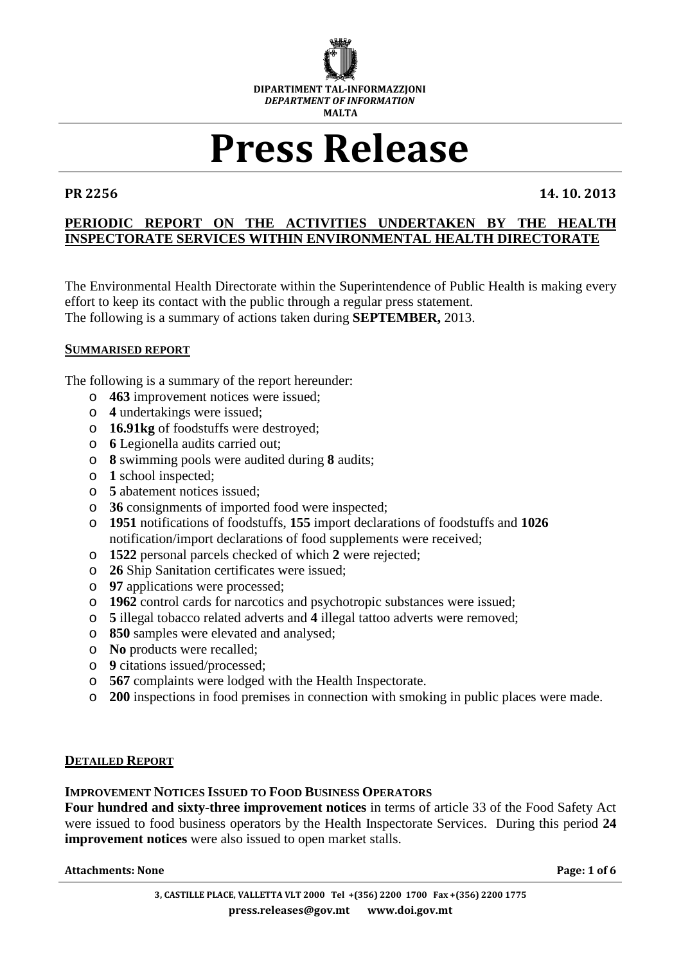

# **Press Release**

**PR 2256 14. 10. 2013**

# **PERIODIC REPORT ON THE ACTIVITIES UNDERTAKEN BY THE HEALTH INSPECTORATE SERVICES WITHIN ENVIRONMENTAL HEALTH DIRECTORATE**

The Environmental Health Directorate within the Superintendence of Public Health is making every effort to keep its contact with the public through a regular press statement. The following is a summary of actions taken during **SEPTEMBER,** 2013.

### **SUMMARISED REPORT**

The following is a summary of the report hereunder:

- o **463** improvement notices were issued;
- o **4** undertakings were issued;
- o **16.91kg** of foodstuffs were destroyed;
- o **6** Legionella audits carried out;
- o **8** swimming pools were audited during **8** audits;
- o **1** school inspected;
- o **5** abatement notices issued;
- o **36** consignments of imported food were inspected;
- o **1951** notifications of foodstuffs, **155** import declarations of foodstuffs and **1026** notification/import declarations of food supplements were received;
- o **1522** personal parcels checked of which **2** were rejected;
- o **26** Ship Sanitation certificates were issued;
- o **97** applications were processed;
- o **1962** control cards for narcotics and psychotropic substances were issued;
- o **5** illegal tobacco related adverts and **4** illegal tattoo adverts were removed;
- o **850** samples were elevated and analysed;
- o **No** products were recalled;
- o **9** citations issued/processed;
- o **567** complaints were lodged with the Health Inspectorate.
- o **200** inspections in food premises in connection with smoking in public places were made.

#### **DETAILED REPORT**

#### **IMPROVEMENT NOTICES ISSUED TO FOOD BUSINESS OPERATORS**

**Four hundred and sixty-three improvement notices** in terms of article 33 of the Food Safety Act were issued to food business operators by the Health Inspectorate Services. During this period **24 improvement notices** were also issued to open market stalls.

#### **Attachments: None** Page: 1 of 6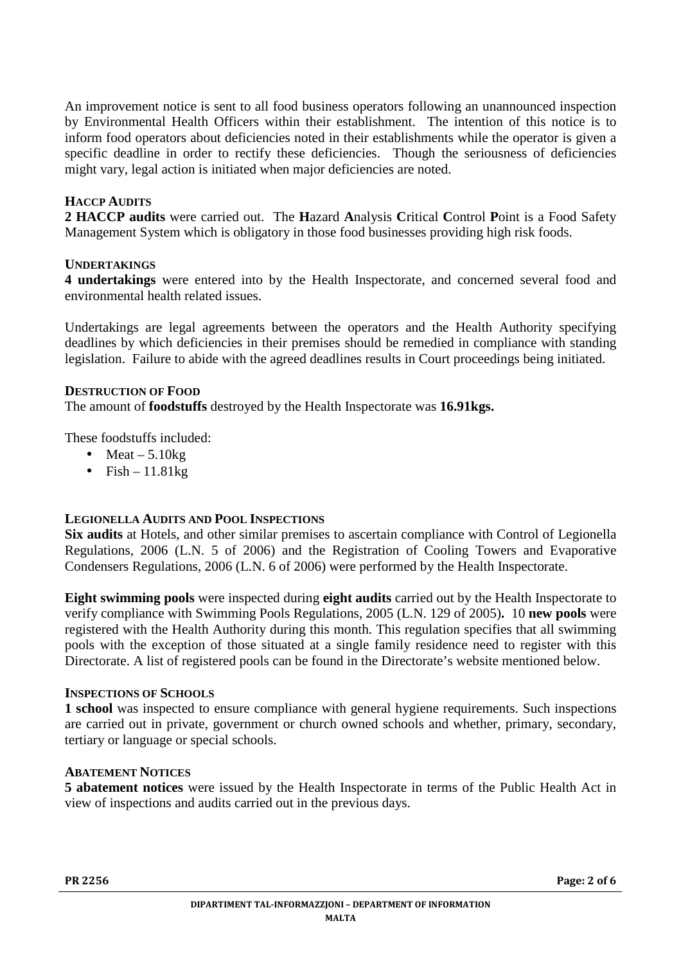An improvement notice is sent to all food business operators following an unannounced inspection by Environmental Health Officers within their establishment. The intention of this notice is to inform food operators about deficiencies noted in their establishments while the operator is given a specific deadline in order to rectify these deficiencies. Though the seriousness of deficiencies might vary, legal action is initiated when major deficiencies are noted.

# **HACCP AUDITS**

**2 HACCP audits** were carried out. The **H**azard **A**nalysis **C**ritical **C**ontrol **P**oint is a Food Safety Management System which is obligatory in those food businesses providing high risk foods.

### **UNDERTAKINGS**

**4 undertakings** were entered into by the Health Inspectorate, and concerned several food and environmental health related issues.

Undertakings are legal agreements between the operators and the Health Authority specifying deadlines by which deficiencies in their premises should be remedied in compliance with standing legislation. Failure to abide with the agreed deadlines results in Court proceedings being initiated.

#### **DESTRUCTION OF FOOD**

The amount of **foodstuffs** destroyed by the Health Inspectorate was **16.91kgs.** 

These foodstuffs included:

- Meat  $-5.10$ kg
- Fish  $11.81kg$

# **LEGIONELLA AUDITS AND POOL INSPECTIONS**

**Six audits** at Hotels, and other similar premises to ascertain compliance with Control of Legionella Regulations, 2006 (L.N. 5 of 2006) and the Registration of Cooling Towers and Evaporative Condensers Regulations, 2006 (L.N. 6 of 2006) were performed by the Health Inspectorate.

**Eight swimming pools** were inspected during **eight audits** carried out by the Health Inspectorate to verify compliance with Swimming Pools Regulations, 2005 (L.N. 129 of 2005)**.** 10 **new pools** were registered with the Health Authority during this month. This regulation specifies that all swimming pools with the exception of those situated at a single family residence need to register with this Directorate. A list of registered pools can be found in the Directorate's website mentioned below.

#### **INSPECTIONS OF SCHOOLS**

**1 school** was inspected to ensure compliance with general hygiene requirements. Such inspections are carried out in private, government or church owned schools and whether, primary, secondary, tertiary or language or special schools.

#### **ABATEMENT NOTICES**

**5 abatement notices** were issued by the Health Inspectorate in terms of the Public Health Act in view of inspections and audits carried out in the previous days.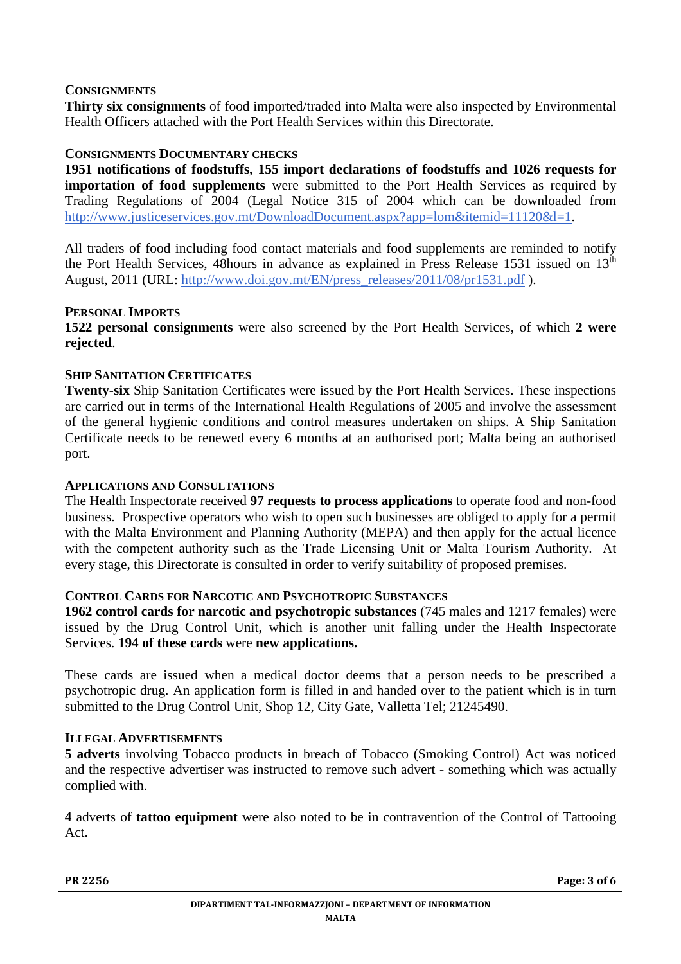#### **CONSIGNMENTS**

**Thirty six consignments** of food imported/traded into Malta were also inspected by Environmental Health Officers attached with the Port Health Services within this Directorate.

### **CONSIGNMENTS DOCUMENTARY CHECKS**

**1951 notifications of foodstuffs, 155 import declarations of foodstuffs and 1026 requests for importation of food supplements** were submitted to the Port Health Services as required by Trading Regulations of 2004 (Legal Notice 315 of 2004 which can be downloaded from http://www.justiceservices.gov.mt/DownloadDocument.aspx?app=lom&itemid=11120&l=1.

All traders of food including food contact materials and food supplements are reminded to notify the Port Health Services, 48hours in advance as explained in Press Release 1531 issued on  $13<sup>th</sup>$ August, 2011 (URL: http://www.doi.gov.mt/EN/press\_releases/2011/08/pr1531.pdf ).

#### **PERSONAL IMPORTS**

**1522 personal consignments** were also screened by the Port Health Services, of which **2 were rejected**.

### **SHIP SANITATION CERTIFICATES**

**Twenty-six** Ship Sanitation Certificates were issued by the Port Health Services. These inspections are carried out in terms of the International Health Regulations of 2005 and involve the assessment of the general hygienic conditions and control measures undertaken on ships. A Ship Sanitation Certificate needs to be renewed every 6 months at an authorised port; Malta being an authorised port.

#### **APPLICATIONS AND CONSULTATIONS**

The Health Inspectorate received **97 requests to process applications** to operate food and non-food business. Prospective operators who wish to open such businesses are obliged to apply for a permit with the Malta Environment and Planning Authority (MEPA) and then apply for the actual licence with the competent authority such as the Trade Licensing Unit or Malta Tourism Authority. At every stage, this Directorate is consulted in order to verify suitability of proposed premises.

### **CONTROL CARDS FOR NARCOTIC AND PSYCHOTROPIC SUBSTANCES**

**1962 control cards for narcotic and psychotropic substances** (745 males and 1217 females) were issued by the Drug Control Unit, which is another unit falling under the Health Inspectorate Services. **194 of these cards** were **new applications.**

These cards are issued when a medical doctor deems that a person needs to be prescribed a psychotropic drug. An application form is filled in and handed over to the patient which is in turn submitted to the Drug Control Unit, Shop 12, City Gate, Valletta Tel; 21245490.

#### **ILLEGAL ADVERTISEMENTS**

**5 adverts** involving Tobacco products in breach of Tobacco (Smoking Control) Act was noticed and the respective advertiser was instructed to remove such advert - something which was actually complied with.

**4** adverts of **tattoo equipment** were also noted to be in contravention of the Control of Tattooing Act.

**PR 2256 Page: 3 of 6**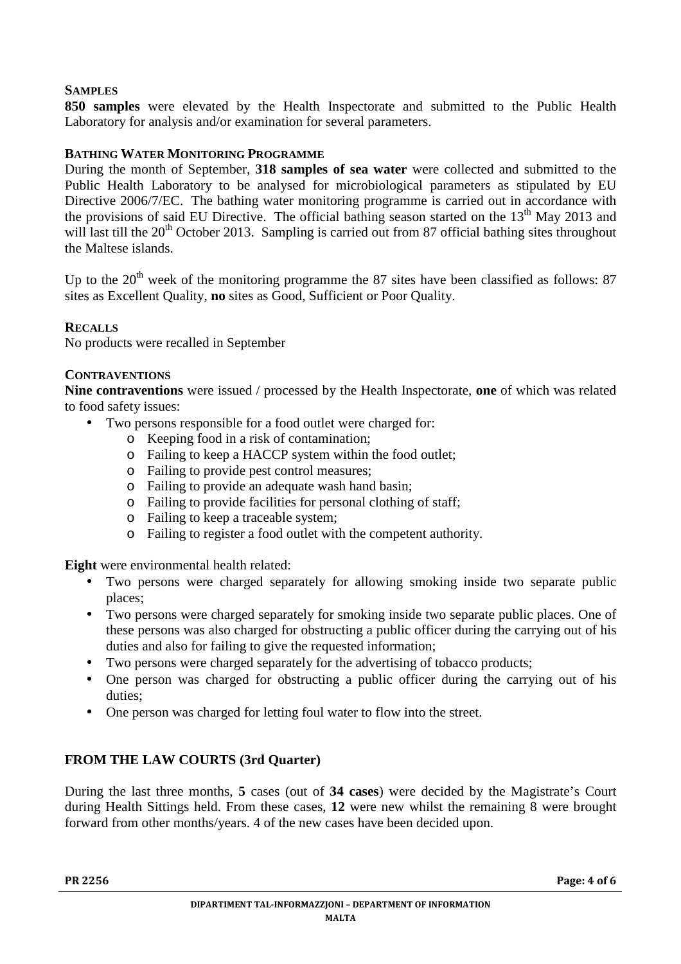# **SAMPLES**

**850 samples** were elevated by the Health Inspectorate and submitted to the Public Health Laboratory for analysis and/or examination for several parameters.

### **BATHING WATER MONITORING PROGRAMME**

During the month of September, **318 samples of sea water** were collected and submitted to the Public Health Laboratory to be analysed for microbiological parameters as stipulated by EU Directive 2006/7/EC. The bathing water monitoring programme is carried out in accordance with the provisions of said EU Directive. The official bathing season started on the 13<sup>th</sup> May 2013 and will last till the  $20<sup>th</sup>$  October 2013. Sampling is carried out from 87 official bathing sites throughout the Maltese islands.

Un to the  $20<sup>th</sup>$  week of the monitoring programme the 87 sites have been classified as follows: 87 sites as Excellent Quality, **no** sites as Good, Sufficient or Poor Quality.

#### **RECALLS**

No products were recalled in September

#### **CONTRAVENTIONS**

**Nine contraventions** were issued / processed by the Health Inspectorate, **one** of which was related to food safety issues:

- Two persons responsible for a food outlet were charged for:
	- o Keeping food in a risk of contamination;
	- o Failing to keep a HACCP system within the food outlet;
	- o Failing to provide pest control measures;
	- o Failing to provide an adequate wash hand basin;
	- o Failing to provide facilities for personal clothing of staff;
	- o Failing to keep a traceable system;
	- o Failing to register a food outlet with the competent authority.

**Eight** were environmental health related:

- Two persons were charged separately for allowing smoking inside two separate public places;
- Two persons were charged separately for smoking inside two separate public places. One of these persons was also charged for obstructing a public officer during the carrying out of his duties and also for failing to give the requested information;
- Two persons were charged separately for the advertising of tobacco products;
- One person was charged for obstructing a public officer during the carrying out of his duties;
- One person was charged for letting foul water to flow into the street.

#### **FROM THE LAW COURTS (3rd Quarter)**

During the last three months, **5** cases (out of **34 cases**) were decided by the Magistrate's Court during Health Sittings held. From these cases, **12** were new whilst the remaining 8 were brought forward from other months/years. 4 of the new cases have been decided upon.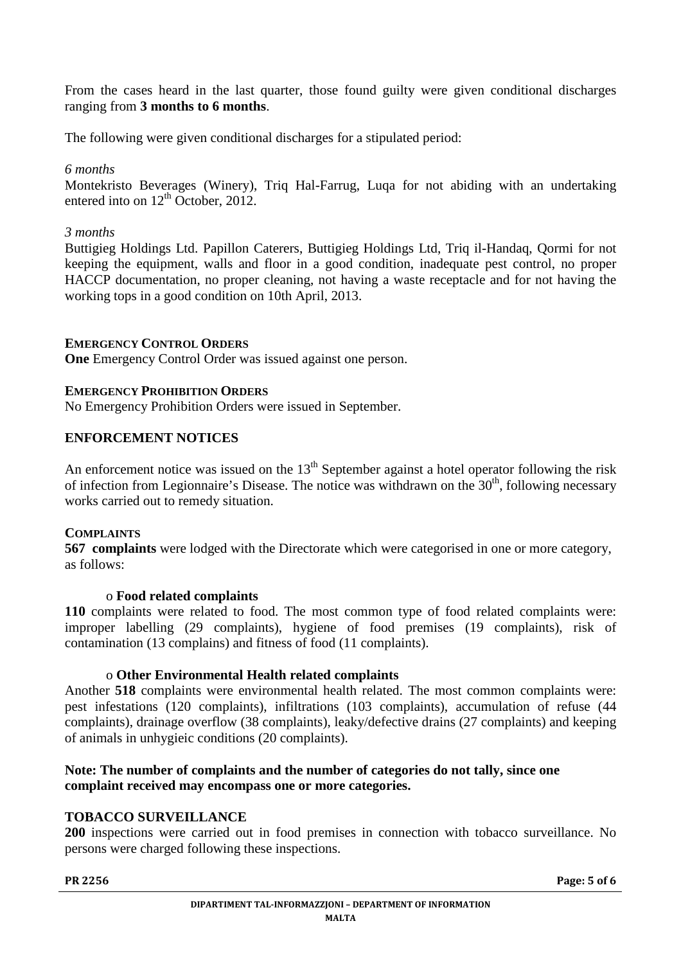From the cases heard in the last quarter, those found guilty were given conditional discharges ranging from **3 months to 6 months**.

The following were given conditional discharges for a stipulated period:

*6 months*

Montekristo Beverages (Winery), Triq Hal-Farrug, Luqa for not abiding with an undertaking entered into on  $12^{th}$  October, 2012.

#### *3 months*

Buttigieg Holdings Ltd. Papillon Caterers, Buttigieg Holdings Ltd, Triq il-Handaq, Qormi for not keeping the equipment, walls and floor in a good condition, inadequate pest control, no proper HACCP documentation, no proper cleaning, not having a waste receptacle and for not having the working tops in a good condition on 10th April, 2013.

### **EMERGENCY CONTROL ORDERS**

**One** Emergency Control Order was issued against one person.

### **EMERGENCY PROHIBITION ORDERS**

No Emergency Prohibition Orders were issued in September.

# **ENFORCEMENT NOTICES**

An enforcement notice was issued on the  $13<sup>th</sup>$  September against a hotel operator following the risk of infection from Legionnaire's Disease. The notice was withdrawn on the  $30<sup>th</sup>$ , following necessary works carried out to remedy situation.

#### **COMPLAINTS**

**567 complaints** were lodged with the Directorate which were categorised in one or more category, as follows:

#### o **Food related complaints**

**110** complaints were related to food. The most common type of food related complaints were: improper labelling (29 complaints), hygiene of food premises (19 complaints), risk of contamination (13 complains) and fitness of food (11 complaints).

#### o **Other Environmental Health related complaints**

Another **518** complaints were environmental health related. The most common complaints were: pest infestations (120 complaints), infiltrations (103 complaints), accumulation of refuse (44 complaints), drainage overflow (38 complaints), leaky/defective drains (27 complaints) and keeping of animals in unhygieic conditions (20 complaints).

# **Note: The number of complaints and the number of categories do not tally, since one complaint received may encompass one or more categories.**

# **TOBACCO SURVEILLANCE**

**200** inspections were carried out in food premises in connection with tobacco surveillance. No persons were charged following these inspections.